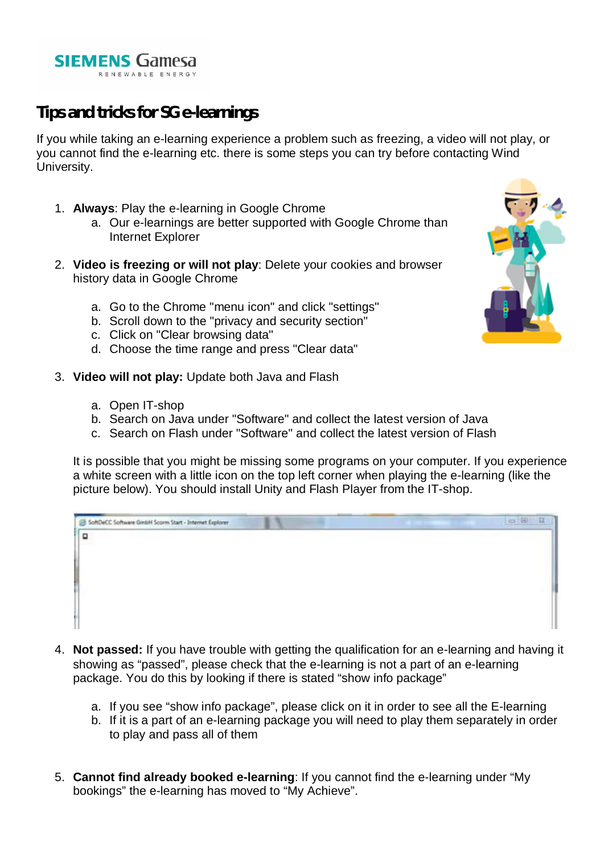

# **Tips and tricks for SG e-learnings**

If you while taking an e-learning experience a problem such as freezing, a video will not play, or you cannot find the e-learning etc. there is some steps you can try before contacting Wind University.

- 1. **Always**: Play the e-learning in Google Chrome
	- a. Our e-learnings are better supported with Google Chrome than Internet Explorer
- 2. **Video is freezing or will not play**: Delete your cookies and browser history data in Google Chrome
	- a. Go to the Chrome "menu icon" and click "settings"
	- b. Scroll down to the "privacy and security section"
	- c. Click on "Clear browsing data"
	- d. Choose the time range and press "Clear data"
- 3. **Video will not play:** Update both Java and Flash
	- a. Open IT-shop
	- b. Search on Java under "Software" and collect the latest version of Java
	- c. Search on Flash under "Software" and collect the latest version of Flash

It is possible that you might be missing some programs on your computer. If you experience a white screen with a little icon on the top left corner when playing the e-learning (like the picture below). You should install Unity and Flash Player from the IT-shop.

| SoftDeCC Software GmbH Scorm Start - Internet Explorer |  | 0002 |
|--------------------------------------------------------|--|------|
| $\Box$                                                 |  |      |
|                                                        |  |      |
|                                                        |  |      |
|                                                        |  |      |
|                                                        |  |      |
|                                                        |  |      |
|                                                        |  |      |

- 4. **Not passed:** If you have trouble with getting the qualification for an e-learning and having it showing as "passed", please check that the e-learning is not a part of an e-learning package. You do this by looking if there is stated "show info package"
	- a. If you see "show info package", please click on it in order to see all the E-learning
	- b. If it is a part of an e-learning package you will need to play them separately in order to play and pass all of them
- 5. **Cannot find already booked e-learning**: If you cannot find the e-learning under "My bookings" the e-learning has moved to "My Achieve".

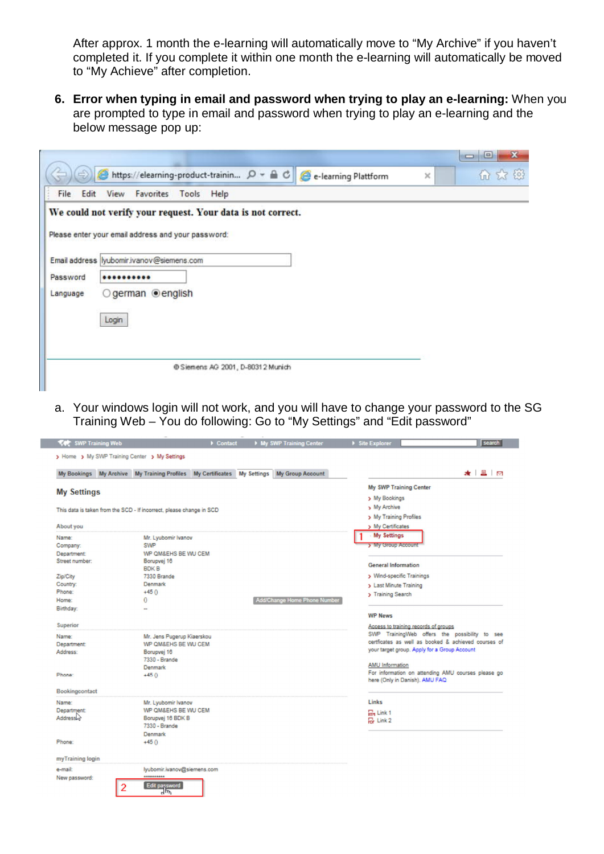After approx. 1 month the e-learning will automatically move to "My Archive" if you haven't completed it. If you complete it within one month the e-learning will automatically be moved to "My Achieve" after completion.

**6. Error when typing in email and password when trying to play an e-learning:** When you are prompted to type in email and password when trying to play an e-learning and the below message pop up:

|              | A https://elearning-product-trainin p - A C e-learning Plattform<br>$\times$ | 价 大 德 |
|--------------|------------------------------------------------------------------------------|-------|
| Edit<br>File | View<br>Favorites Tools Help                                                 |       |
|              | We could not verify your request. Your data is not correct.                  |       |
|              |                                                                              |       |
|              | Please enter your email address and your password:                           |       |
|              | Email address lyubomir.ivanov@siemens.com                                    |       |
|              |                                                                              |       |
| Password     |                                                                              |       |
| Language     | ○ german <b> </b> english                                                    |       |
|              |                                                                              |       |
|              | Login                                                                        |       |
|              |                                                                              |       |
|              |                                                                              |       |
|              | @ Siemens AG 2001, D-80312 Munich                                            |       |
|              |                                                                              |       |

a. Your windows login will not work, and you will have to change your password to the SG Training Web – You do following: Go to "My Settings" and "Edit password"

|                    | My Bookings My Archive My Training Profiles My Certificates My Settings | My Group Account             | ★ 且 回                                               |
|--------------------|-------------------------------------------------------------------------|------------------------------|-----------------------------------------------------|
| <b>My Settings</b> |                                                                         |                              | My SWP Training Center                              |
|                    |                                                                         |                              | > My Bookings                                       |
|                    | This data is taken from the SCD - If incorrect, please change in SCD    |                              | > My Archive                                        |
|                    |                                                                         |                              | > My Training Profiles                              |
| About you          |                                                                         |                              | > My Certificates                                   |
| Name:              | Mr. Lyubomir Ivanov                                                     |                              | My Settings                                         |
| Company:           | <b>SWP</b>                                                              |                              | > My Group Account                                  |
| Department:        | WP QM&EHS BE WU CEM                                                     |                              |                                                     |
| Street number:     | Borupvej 16<br><b>BDKB</b>                                              |                              | <b>General Information</b>                          |
| Zip/City           | 7330 Brande                                                             |                              | > Wind-specific Trainings                           |
| Country:           | Denmark                                                                 |                              | > Last Minute Training                              |
| Phone:             | $+45()$                                                                 |                              | > Training Search                                   |
| Home:              | $\mathbf{0}$                                                            | Add/Change Home Phone Number |                                                     |
| Birthday:          |                                                                         |                              | <b>WP News</b>                                      |
| <b>Superior</b>    |                                                                         |                              | Access to training records of groups                |
| Name:              | Mr. Jens Pugerup Kiaerskou                                              |                              | SWP TrainingWeb offers the possibility to see       |
| Department:        | WP QM&EHS BE WU CEM                                                     |                              | certficates as well as booked & achieved courses of |
| Address:           | Borupvej 16                                                             |                              | your target group. Apply for a Group Account        |
|                    | 7330 - Brande                                                           |                              | AMU Information                                     |
|                    | Denmark                                                                 |                              | For information on attending AMU courses please go  |
| Phone:             | $+450$                                                                  |                              | here (Only in Danish). AMU FAQ                      |
| Bookingcontact     |                                                                         |                              |                                                     |
| Name:              | Mr. Lyubomir Ivanov                                                     |                              | Links                                               |
| Department:        | WP QM&EHS BE WU CEM                                                     |                              | <b>TH</b> Link 1                                    |
| Addressive         | Borupvej 16 BDK B                                                       |                              | For Link 2                                          |
|                    | 7330 - Brande<br>Denmark                                                |                              |                                                     |
| Phone:             | $+450$                                                                  |                              |                                                     |
|                    |                                                                         |                              |                                                     |
| myTraining login   |                                                                         |                              |                                                     |
| e-mail:            | lyubomir.ivanov@siemens.com                                             |                              |                                                     |